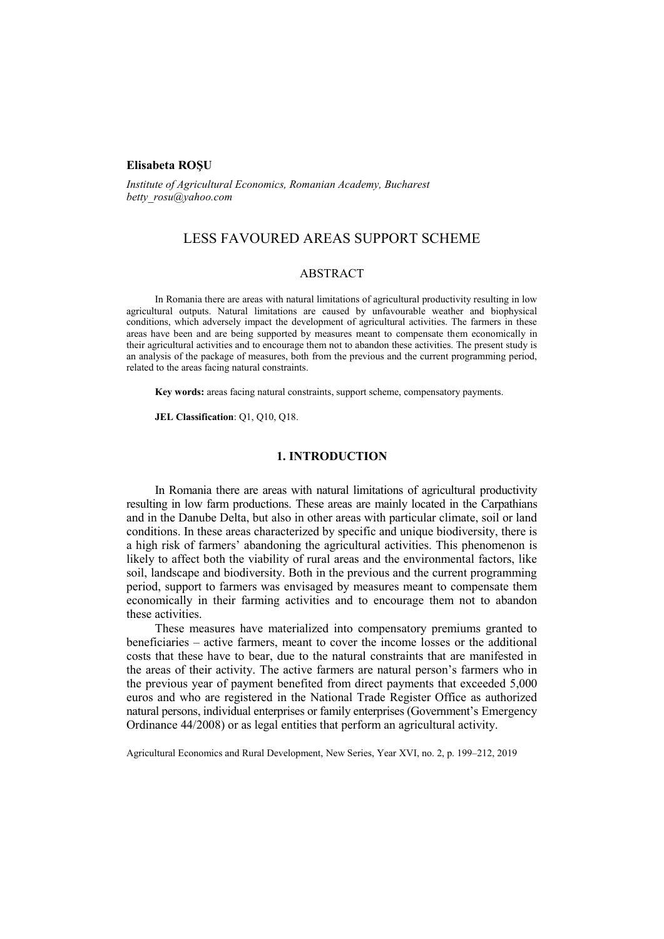#### **Elisabeta ROŞU**

*Institute of Agricultural Economics, Romanian Academy, Bucharest betty\_rosu@yahoo.com*

# LESS FAVOURED AREAS SUPPORT SCHEME

## ABSTRACT

In Romania there are areas with natural limitations of agricultural productivity resulting in low agricultural outputs. Natural limitations are caused by unfavourable weather and biophysical conditions, which adversely impact the development of agricultural activities. The farmers in these areas have been and are being supported by measures meant to compensate them economically in their agricultural activities and to encourage them not to abandon these activities. The present study is an analysis of the package of measures, both from the previous and the current programming period, related to the areas facing natural constraints.

**Key words:** areas facing natural constraints, support scheme, compensatory payments.

**JEL Classification**: Q1, Q10, Q18.

### **1. INTRODUCTION**

In Romania there are areas with natural limitations of agricultural productivity resulting in low farm productions. These areas are mainly located in the Carpathians and in the Danube Delta, but also in other areas with particular climate, soil or land conditions. In these areas characterized by specific and unique biodiversity, there is a high risk of farmers' abandoning the agricultural activities. This phenomenon is likely to affect both the viability of rural areas and the environmental factors, like soil, landscape and biodiversity. Both in the previous and the current programming period, support to farmers was envisaged by measures meant to compensate them economically in their farming activities and to encourage them not to abandon these activities.

These measures have materialized into compensatory premiums granted to beneficiaries – active farmers, meant to cover the income losses or the additional costs that these have to bear, due to the natural constraints that are manifested in the areas of their activity. The active farmers are natural person's farmers who in the previous year of payment benefited from direct payments that exceeded 5,000 euros and who are registered in the National Trade Register Office as authorized natural persons, individual enterprises or family enterprises (Government's Emergency Ordinance 44/2008) or as legal entities that perform an agricultural activity.

Agricultural Economics and Rural Development, New Series, Year XVI, no. 2, p. 199–212, 2019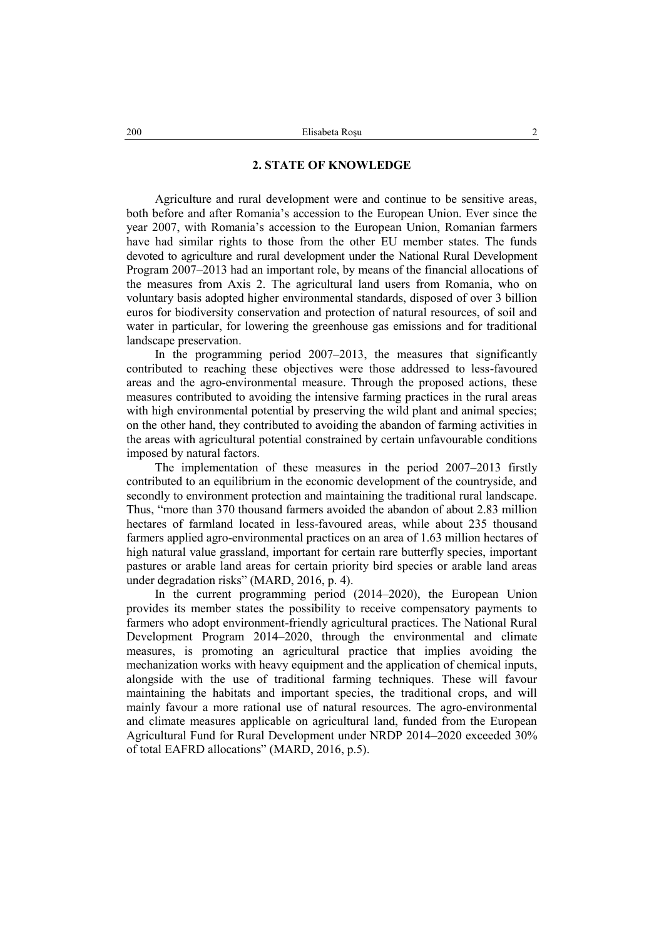## **2. STATE OF KNOWLEDGE**

Agriculture and rural development were and continue to be sensitive areas, both before and after Romania's accession to the European Union. Ever since the year 2007, with Romania's accession to the European Union, Romanian farmers have had similar rights to those from the other EU member states. The funds devoted to agriculture and rural development under the National Rural Development Program 2007–2013 had an important role, by means of the financial allocations of the measures from Axis 2. The agricultural land users from Romania, who on voluntary basis adopted higher environmental standards, disposed of over 3 billion euros for biodiversity conservation and protection of natural resources, of soil and water in particular, for lowering the greenhouse gas emissions and for traditional landscape preservation.

In the programming period 2007–2013, the measures that significantly contributed to reaching these objectives were those addressed to less-favoured areas and the agro-environmental measure. Through the proposed actions, these measures contributed to avoiding the intensive farming practices in the rural areas with high environmental potential by preserving the wild plant and animal species; on the other hand, they contributed to avoiding the abandon of farming activities in the areas with agricultural potential constrained by certain unfavourable conditions imposed by natural factors.

The implementation of these measures in the period 2007–2013 firstly contributed to an equilibrium in the economic development of the countryside, and secondly to environment protection and maintaining the traditional rural landscape. Thus, "more than 370 thousand farmers avoided the abandon of about 2.83 million hectares of farmland located in less-favoured areas, while about 235 thousand farmers applied agro-environmental practices on an area of 1.63 million hectares of high natural value grassland, important for certain rare butterfly species, important pastures or arable land areas for certain priority bird species or arable land areas under degradation risks" (MARD, 2016, p. 4).

In the current programming period (2014–2020), the European Union provides its member states the possibility to receive compensatory payments to farmers who adopt environment-friendly agricultural practices. The National Rural Development Program 2014–2020, through the environmental and climate measures, is promoting an agricultural practice that implies avoiding the mechanization works with heavy equipment and the application of chemical inputs, alongside with the use of traditional farming techniques. These will favour maintaining the habitats and important species, the traditional crops, and will mainly favour a more rational use of natural resources. The agro-environmental and climate measures applicable on agricultural land, funded from the European Agricultural Fund for Rural Development under NRDP 2014–2020 exceeded 30% of total EAFRD allocations" (MARD, 2016, p.5).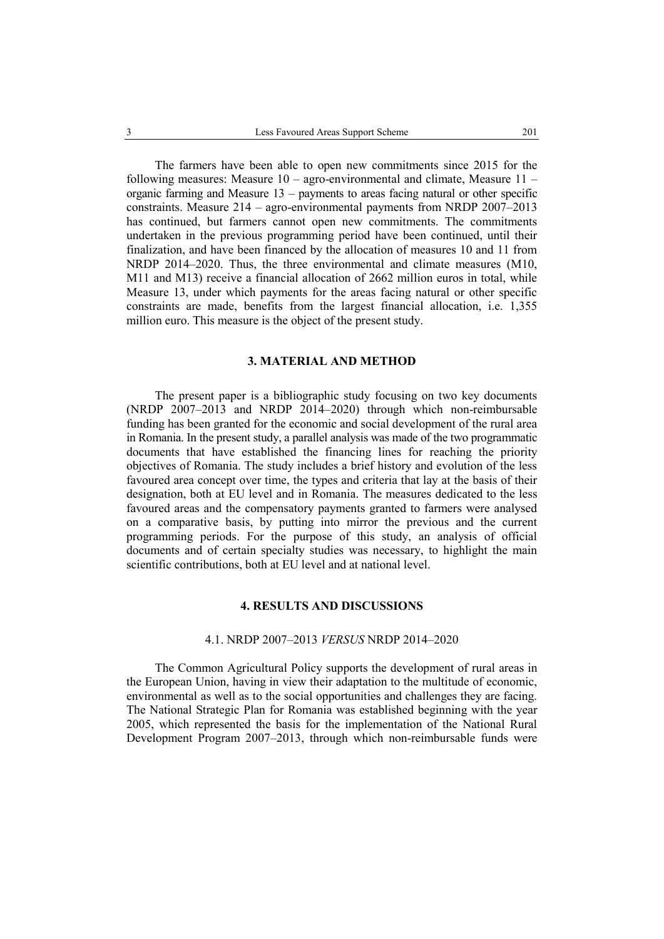The farmers have been able to open new commitments since 2015 for the following measures: Measure  $10 -$  agro-environmental and climate, Measure  $11$ organic farming and Measure 13 – payments to areas facing natural or other specific constraints. Measure 214 – agro-environmental payments from NRDP 2007–2013 has continued, but farmers cannot open new commitments. The commitments undertaken in the previous programming period have been continued, until their finalization, and have been financed by the allocation of measures 10 and 11 from NRDP 2014–2020. Thus, the three environmental and climate measures (M10, M11 and M13) receive a financial allocation of 2662 million euros in total, while Measure 13, under which payments for the areas facing natural or other specific constraints are made, benefits from the largest financial allocation, i.e. 1,355 million euro. This measure is the object of the present study.

## **3. MATERIAL AND METHOD**

The present paper is a bibliographic study focusing on two key documents (NRDP 2007–2013 and NRDP 2014–2020) through which non-reimbursable funding has been granted for the economic and social development of the rural area in Romania. In the present study, a parallel analysis was made of the two programmatic documents that have established the financing lines for reaching the priority objectives of Romania. The study includes a brief history and evolution of the less favoured area concept over time, the types and criteria that lay at the basis of their designation, both at EU level and in Romania. The measures dedicated to the less favoured areas and the compensatory payments granted to farmers were analysed on a comparative basis, by putting into mirror the previous and the current programming periods. For the purpose of this study, an analysis of official documents and of certain specialty studies was necessary, to highlight the main scientific contributions, both at EU level and at national level.

## **4. RESULTS AND DISCUSSIONS**

## 4.1. NRDP 2007–2013 *VERSUS* NRDP 2014–2020

The Common Agricultural Policy supports the development of rural areas in the European Union, having in view their adaptation to the multitude of economic, environmental as well as to the social opportunities and challenges they are facing. The National Strategic Plan for Romania was established beginning with the year 2005, which represented the basis for the implementation of the National Rural Development Program 2007–2013, through which non-reimbursable funds were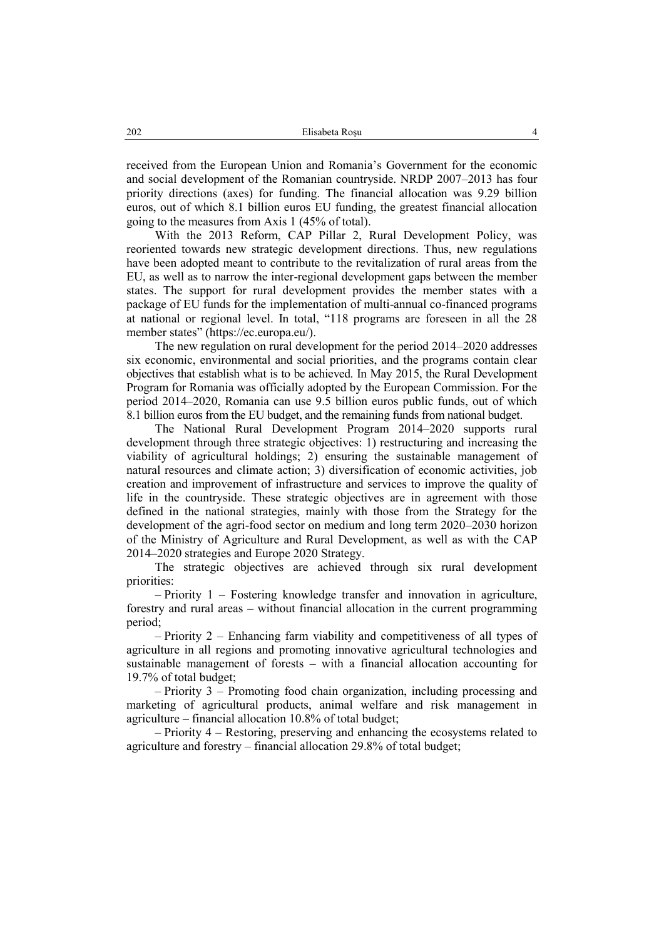received from the European Union and Romania's Government for the economic and social development of the Romanian countryside. NRDP 2007–2013 has four priority directions (axes) for funding. The financial allocation was 9.29 billion euros, out of which 8.1 billion euros EU funding, the greatest financial allocation going to the measures from Axis 1 (45% of total).

With the 2013 Reform, CAP Pillar 2, Rural Development Policy, was reoriented towards new strategic development directions. Thus, new regulations have been adopted meant to contribute to the revitalization of rural areas from the EU, as well as to narrow the inter-regional development gaps between the member states. The support for rural development provides the member states with a package of EU funds for the implementation of multi-annual co-financed programs at national or regional level. In total, "118 programs are foreseen in all the 28 member states" (https://ec.europa.eu/).

The new regulation on rural development for the period 2014–2020 addresses six economic, environmental and social priorities, and the programs contain clear objectives that establish what is to be achieved. In May 2015, the Rural Development Program for Romania was officially adopted by the European Commission. For the period 2014–2020, Romania can use 9.5 billion euros public funds, out of which 8.1 billion euros from the EU budget, and the remaining funds from national budget.

The National Rural Development Program 2014–2020 supports rural development through three strategic objectives: 1) restructuring and increasing the viability of agricultural holdings; 2) ensuring the sustainable management of natural resources and climate action; 3) diversification of economic activities, job creation and improvement of infrastructure and services to improve the quality of life in the countryside. These strategic objectives are in agreement with those defined in the national strategies, mainly with those from the Strategy for the development of the agri-food sector on medium and long term 2020–2030 horizon of the Ministry of Agriculture and Rural Development, as well as with the CAP 2014–2020 strategies and Europe 2020 Strategy.

The strategic objectives are achieved through six rural development priorities:

– Priority 1 – Fostering knowledge transfer and innovation in agriculture, forestry and rural areas – without financial allocation in the current programming period;

– Priority 2 – Enhancing farm viability and competitiveness of all types of agriculture in all regions and promoting innovative agricultural technologies and sustainable management of forests – with a financial allocation accounting for 19.7% of total budget;

– Priority 3 – Promoting food chain organization, including processing and marketing of agricultural products, animal welfare and risk management in agriculture – financial allocation 10.8% of total budget;

– Priority 4 – Restoring, preserving and enhancing the ecosystems related to agriculture and forestry – financial allocation 29.8% of total budget;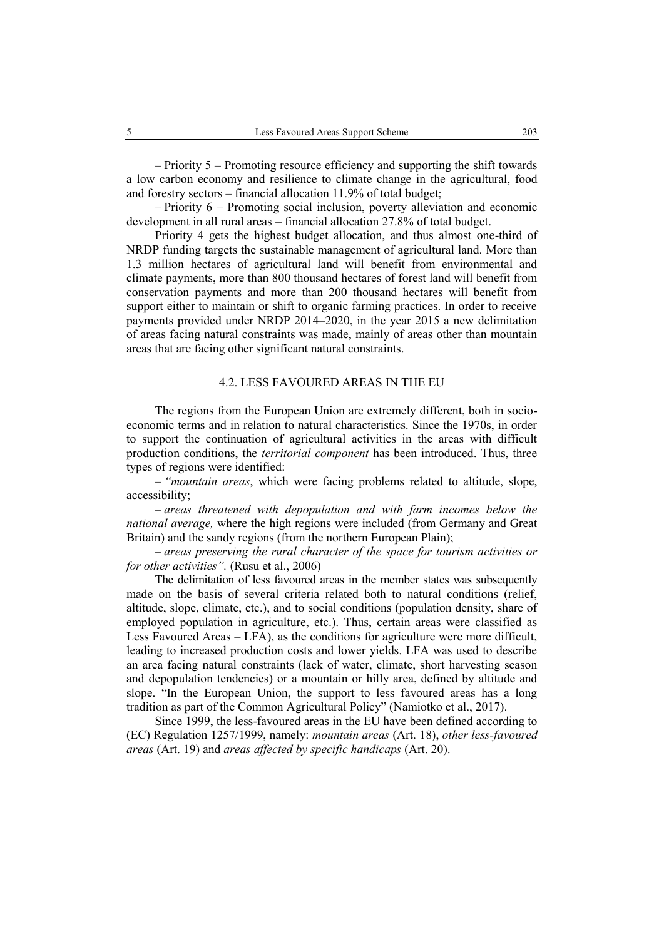– Priority 5 – Promoting resource efficiency and supporting the shift towards

a low carbon economy and resilience to climate change in the agricultural, food and forestry sectors – financial allocation 11.9% of total budget; – Priority 6 – Promoting social inclusion, poverty alleviation and economic

development in all rural areas – financial allocation 27.8% of total budget.

Priority 4 gets the highest budget allocation, and thus almost one-third of NRDP funding targets the sustainable management of agricultural land. More than 1.3 million hectares of agricultural land will benefit from environmental and climate payments, more than 800 thousand hectares of forest land will benefit from conservation payments and more than 200 thousand hectares will benefit from support either to maintain or shift to organic farming practices. In order to receive payments provided under NRDP 2014–2020, in the year 2015 a new delimitation of areas facing natural constraints was made, mainly of areas other than mountain areas that are facing other significant natural constraints.

## 4.2. LESS FAVOURED AREAS IN THE EU

The regions from the European Union are extremely different, both in socioeconomic terms and in relation to natural characteristics. Since the 1970s, in order to support the continuation of agricultural activities in the areas with difficult production conditions, the *territorial component* has been introduced. Thus, three types of regions were identified:

– *"mountain areas*, which were facing problems related to altitude, slope, accessibility;

– *areas threatened with depopulation and with farm incomes below the national average,* where the high regions were included (from Germany and Great Britain) and the sandy regions (from the northern European Plain);

– *areas preserving the rural character of the space for tourism activities or for other activities".* (Rusu et al., 2006)

The delimitation of less favoured areas in the member states was subsequently made on the basis of several criteria related both to natural conditions (relief, altitude, slope, climate, etc.), and to social conditions (population density, share of employed population in agriculture, etc.). Thus, certain areas were classified as Less Favoured Areas – LFA), as the conditions for agriculture were more difficult, leading to increased production costs and lower yields. LFA was used to describe an area facing natural constraints (lack of water, climate, short harvesting season and depopulation tendencies) or a mountain or hilly area, defined by altitude and slope. "In the European Union, the support to less favoured areas has a long tradition as part of the Common Agricultural Policy" (Namiotko et al., 2017).

Since 1999, the less-favoured areas in the EU have been defined according to (EC) Regulation 1257/1999, namely: *mountain areas* (Art. 18), *other less-favoured areas* (Art. 19) and *areas affected by specific handicaps* (Art. 20).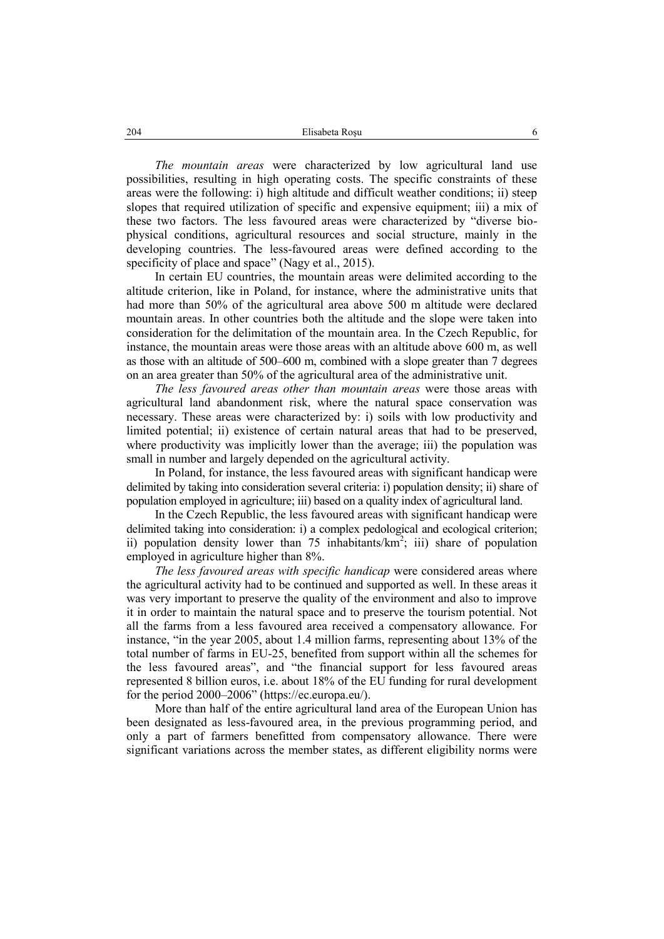*The mountain areas* were characterized by low agricultural land use possibilities, resulting in high operating costs. The specific constraints of these areas were the following: i) high altitude and difficult weather conditions; ii) steep slopes that required utilization of specific and expensive equipment; iii) a mix of these two factors. The less favoured areas were characterized by "diverse biophysical conditions, agricultural resources and social structure, mainly in the developing countries. The less-favoured areas were defined according to the specificity of place and space" (Nagy et al., 2015).

In certain EU countries, the mountain areas were delimited according to the altitude criterion, like in Poland, for instance, where the administrative units that had more than 50% of the agricultural area above 500 m altitude were declared mountain areas. In other countries both the altitude and the slope were taken into consideration for the delimitation of the mountain area. In the Czech Republic, for instance, the mountain areas were those areas with an altitude above 600 m, as well as those with an altitude of 500–600 m, combined with a slope greater than 7 degrees on an area greater than 50% of the agricultural area of the administrative unit.

*The less favoured areas other than mountain areas* were those areas with agricultural land abandonment risk, where the natural space conservation was necessary. These areas were characterized by: i) soils with low productivity and limited potential; ii) existence of certain natural areas that had to be preserved, where productivity was implicitly lower than the average; iii) the population was small in number and largely depended on the agricultural activity.

In Poland, for instance, the less favoured areas with significant handicap were delimited by taking into consideration several criteria: i) population density; ii) share of population employed in agriculture; iii) based on a quality index of agricultural land.

In the Czech Republic, the less favoured areas with significant handicap were delimited taking into consideration: i) a complex pedological and ecological criterion; ii) population density lower than 75 inhabitants/ $km^2$ ; iii) share of population employed in agriculture higher than 8%.

*The less favoured areas with specific handicap* were considered areas where the agricultural activity had to be continued and supported as well. In these areas it was very important to preserve the quality of the environment and also to improve it in order to maintain the natural space and to preserve the tourism potential. Not all the farms from a less favoured area received a compensatory allowance. For instance, "in the year 2005, about 1.4 million farms, representing about 13% of the total number of farms in EU-25, benefited from support within all the schemes for the less favoured areas", and "the financial support for less favoured areas represented 8 billion euros, i.e. about 18% of the EU funding for rural development for the period 2000–2006" (https://ec.europa.eu/).

More than half of the entire agricultural land area of the European Union has been designated as less-favoured area, in the previous programming period, and only a part of farmers benefitted from compensatory allowance. There were significant variations across the member states, as different eligibility norms were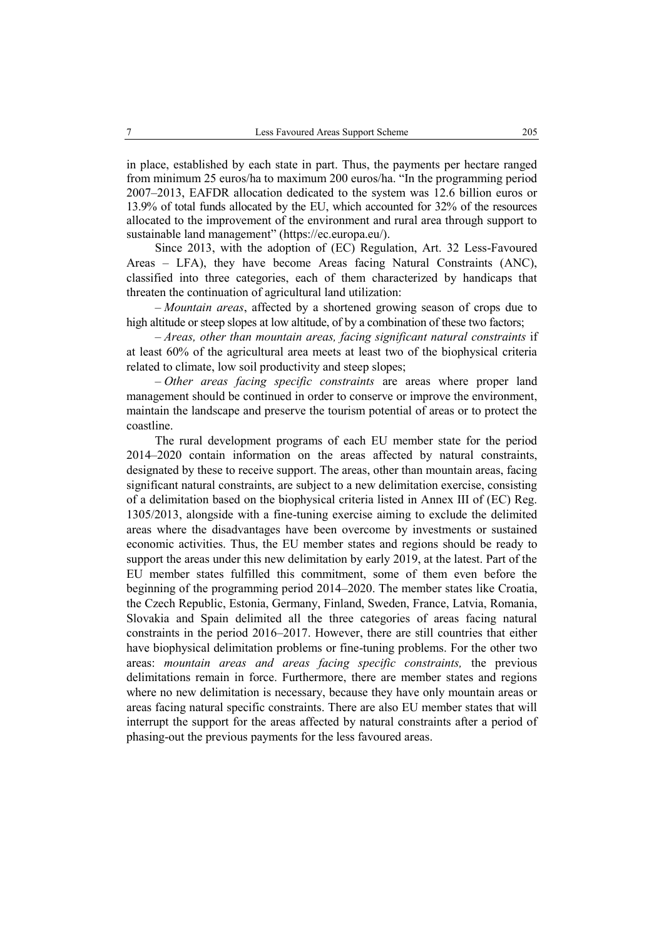in place, established by each state in part. Thus, the payments per hectare ranged from minimum 25 euros/ha to maximum 200 euros/ha. "In the programming period 2007–2013, EAFDR allocation dedicated to the system was 12.6 billion euros or 13.9% of total funds allocated by the EU, which accounted for 32% of the resources allocated to the improvement of the environment and rural area through support to sustainable land management" (https://ec.europa.eu/).

Since 2013, with the adoption of (EC) Regulation, Art. 32 Less-Favoured Areas – LFA), they have become Areas facing Natural Constraints (ANC), classified into three categories, each of them characterized by handicaps that threaten the continuation of agricultural land utilization:

– *Mountain areas*, affected by a shortened growing season of crops due to high altitude or steep slopes at low altitude, of by a combination of these two factors;

– *Areas, other than mountain areas, facing significant natural constraints* if at least 60% of the agricultural area meets at least two of the biophysical criteria related to climate, low soil productivity and steep slopes;

– *Other areas facing specific constraints* are areas where proper land management should be continued in order to conserve or improve the environment, maintain the landscape and preserve the tourism potential of areas or to protect the coastline.

The rural development programs of each EU member state for the period 2014–2020 contain information on the areas affected by natural constraints, designated by these to receive support. The areas, other than mountain areas, facing significant natural constraints, are subject to a new delimitation exercise, consisting of a delimitation based on the biophysical criteria listed in Annex III of (EC) Reg. 1305/2013, alongside with a fine-tuning exercise aiming to exclude the delimited areas where the disadvantages have been overcome by investments or sustained economic activities. Thus, the EU member states and regions should be ready to support the areas under this new delimitation by early 2019, at the latest. Part of the EU member states fulfilled this commitment, some of them even before the beginning of the programming period 2014–2020. The member states like Croatia, the Czech Republic, Estonia, Germany, Finland, Sweden, France, Latvia, Romania, Slovakia and Spain delimited all the three categories of areas facing natural constraints in the period 2016–2017. However, there are still countries that either have biophysical delimitation problems or fine-tuning problems. For the other two areas: *mountain areas and areas facing specific constraints,* the previous delimitations remain in force. Furthermore, there are member states and regions where no new delimitation is necessary, because they have only mountain areas or areas facing natural specific constraints. There are also EU member states that will interrupt the support for the areas affected by natural constraints after a period of phasing-out the previous payments for the less favoured areas.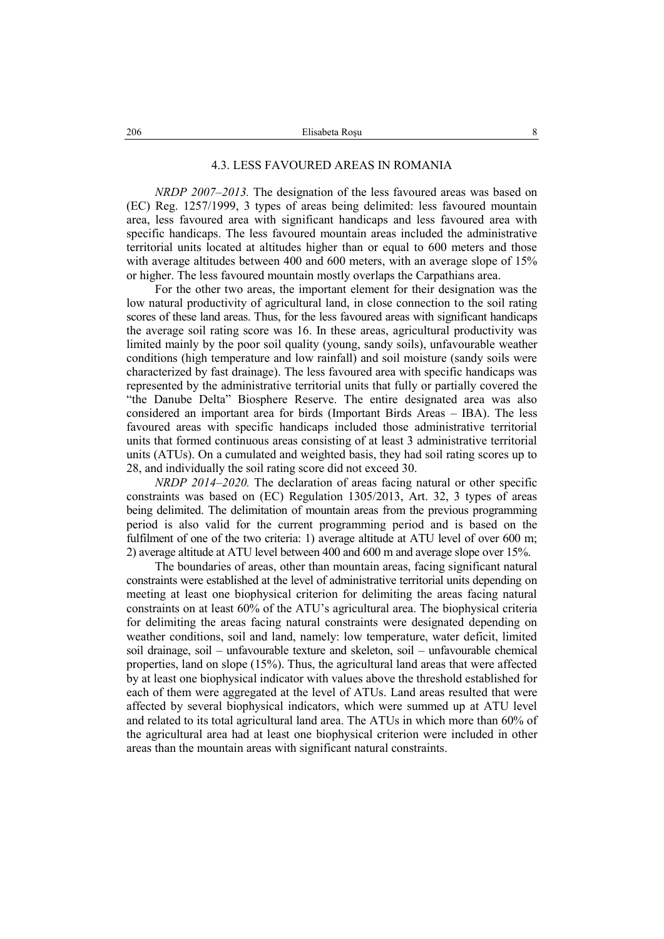#### 4.3. LESS FAVOURED AREAS IN ROMANIA

*NRDP 2007–2013.* The designation of the less favoured areas was based on (EC) Reg. 1257/1999, 3 types of areas being delimited: less favoured mountain area, less favoured area with significant handicaps and less favoured area with specific handicaps. The less favoured mountain areas included the administrative territorial units located at altitudes higher than or equal to 600 meters and those with average altitudes between 400 and 600 meters, with an average slope of 15% or higher. The less favoured mountain mostly overlaps the Carpathians area.

For the other two areas, the important element for their designation was the low natural productivity of agricultural land, in close connection to the soil rating scores of these land areas. Thus, for the less favoured areas with significant handicaps the average soil rating score was 16. In these areas, agricultural productivity was limited mainly by the poor soil quality (young, sandy soils), unfavourable weather conditions (high temperature and low rainfall) and soil moisture (sandy soils were characterized by fast drainage). The less favoured area with specific handicaps was represented by the administrative territorial units that fully or partially covered the "the Danube Delta" Biosphere Reserve. The entire designated area was also considered an important area for birds (Important Birds Areas – IBA). The less favoured areas with specific handicaps included those administrative territorial units that formed continuous areas consisting of at least 3 administrative territorial units (ATUs). On a cumulated and weighted basis, they had soil rating scores up to 28, and individually the soil rating score did not exceed 30.

*NRDP 2014–2020.* The declaration of areas facing natural or other specific constraints was based on (EC) Regulation 1305/2013, Art. 32, 3 types of areas being delimited. The delimitation of mountain areas from the previous programming period is also valid for the current programming period and is based on the fulfilment of one of the two criteria: 1) average altitude at ATU level of over 600 m; 2) average altitude at ATU level between 400 and 600 m and average slope over 15%.

The boundaries of areas, other than mountain areas, facing significant natural constraints were established at the level of administrative territorial units depending on meeting at least one biophysical criterion for delimiting the areas facing natural constraints on at least 60% of the ATU's agricultural area. The biophysical criteria for delimiting the areas facing natural constraints were designated depending on weather conditions, soil and land, namely: low temperature, water deficit, limited soil drainage, soil – unfavourable texture and skeleton, soil – unfavourable chemical properties, land on slope (15%). Thus, the agricultural land areas that were affected by at least one biophysical indicator with values above the threshold established for each of them were aggregated at the level of ATUs. Land areas resulted that were affected by several biophysical indicators, which were summed up at ATU level and related to its total agricultural land area. The ATUs in which more than 60% of the agricultural area had at least one biophysical criterion were included in other areas than the mountain areas with significant natural constraints.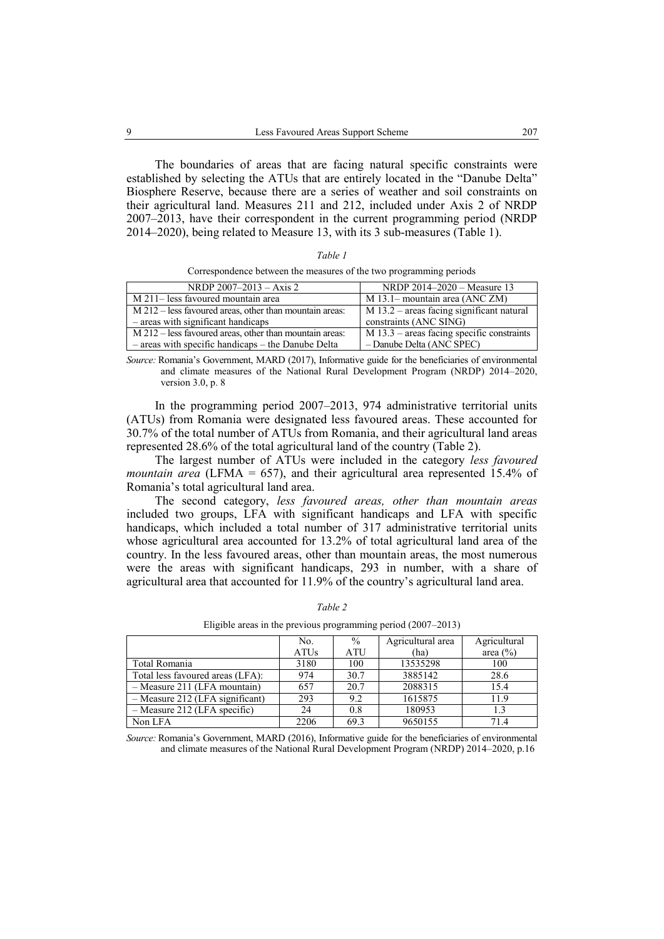The boundaries of areas that are facing natural specific constraints were established by selecting the ATUs that are entirely located in the "Danube Delta" Biosphere Reserve, because there are a series of weather and soil constraints on their agricultural land. Measures 211 and 212, included under Axis 2 of NRDP 2007–2013, have their correspondent in the current programming period (NRDP 2014–2020), being related to Measure 13, with its 3 sub-measures (Table 1).

| an. |  |
|-----|--|
|     |  |

Correspondence between the measures of the two programming periods

| NRDP $2007-2013 - Axis 2$                                           | NRDP 2014–2020 – Measure 13                  |
|---------------------------------------------------------------------|----------------------------------------------|
| M 211– less favoured mountain area                                  | $M$ 13.1– mountain area (ANC ZM)             |
| M 212 – less favoured areas, other than mountain areas:             | $M$ 13.2 – areas facing significant natural  |
| $-$ areas with significant handicaps                                | constraints (ANC SING)                       |
| $\overline{M212}$ – less favoured areas, other than mountain areas: | $M$ 13.3 – areas facing specific constraints |
| $-$ areas with specific handicaps $-$ the Danube Delta              | - Danube Delta (ANC SPEC)                    |

*Source:* Romania's Government, MARD (2017), Informative guide for the beneficiaries of environmental and climate measures of the National Rural Development Program (NRDP) 2014–2020, version 3.0, p. 8

In the programming period 2007–2013, 974 administrative territorial units (ATUs) from Romania were designated less favoured areas. These accounted for 30.7% of the total number of ATUs from Romania, and their agricultural land areas represented 28.6% of the total agricultural land of the country (Table 2).

The largest number of ATUs were included in the category *less favoured mountain area* (LFMA = 657), and their agricultural area represented 15.4% of Romania's total agricultural land area.

The second category, *less favoured areas, other than mountain areas* included two groups, LFA with significant handicaps and LFA with specific handicaps, which included a total number of 317 administrative territorial units whose agricultural area accounted for 13.2% of total agricultural land area of the country. In the less favoured areas, other than mountain areas, the most numerous were the areas with significant handicaps, 293 in number, with a share of agricultural area that accounted for 11.9% of the country's agricultural land area.

|                                   | No.         | $\frac{0}{0}$ | Agricultural area | Agricultural |
|-----------------------------------|-------------|---------------|-------------------|--------------|
|                                   | <b>ATUs</b> | <b>ATU</b>    | (ha)              | area $(\% )$ |
| Total Romania                     | 3180        | 100           | 13535298          | 100          |
| Total less favoured areas (LFA):  | 974         | 30.7          | 3885142           | 28.6         |
| $-$ Measure 211 (LFA mountain)    | 657         | 20.7          | 2088315           | 15.4         |
| $-$ Measure 212 (LFA significant) | 293         | 9.2           | 1615875           | 11.9         |
| $-$ Measure 212 (LFA specific)    | 24          | 0.8           | 180953            | 1.3          |
| Non LFA                           | 2206        | 69.3          | 9650155           | 71.4         |

*Table 2* Eligible areas in the previous programming period (2007–2013)

*Source:* Romania's Government, MARD (2016), Informative guide for the beneficiaries of environmental and climate measures of the National Rural Development Program (NRDP) 2014–2020, p.16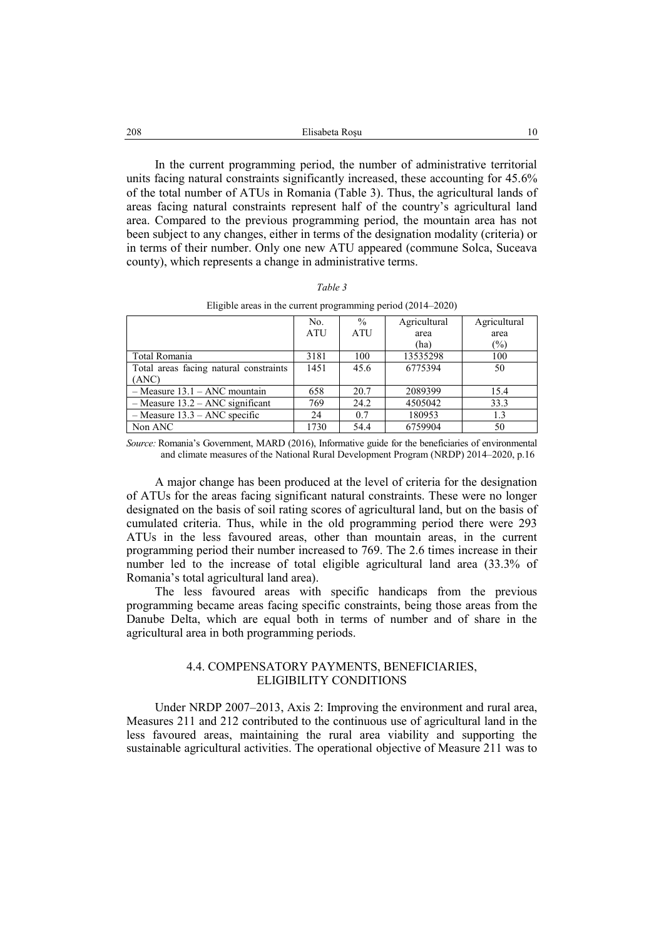| Elisabeta Rosu |  |
|----------------|--|
|                |  |

In the current programming period, the number of administrative territorial units facing natural constraints significantly increased, these accounting for 45.6% of the total number of ATUs in Romania (Table 3). Thus, the agricultural lands of areas facing natural constraints represent half of the country's agricultural land area. Compared to the previous programming period, the mountain area has not been subject to any changes, either in terms of the designation modality (criteria) or in terms of their number. Only one new ATU appeared (commune Solca, Suceava county), which represents a change in administrative terms.

| $\iota$ n |  |
|-----------|--|
|-----------|--|

| Eligible areas in the current programming period $(2014-2020)$ |  |
|----------------------------------------------------------------|--|
|                                                                |  |

|                                        | No.        | $\frac{0}{0}$ | Agricultural | Agricultural   |
|----------------------------------------|------------|---------------|--------------|----------------|
|                                        | <b>ATU</b> | <b>ATU</b>    | area         | area           |
|                                        |            |               | (ha)         | $\binom{0}{0}$ |
| Total Romania                          | 3181       | 100           | 13535298     | 100            |
| Total areas facing natural constraints | 1451       | 45.6          | 6775394      | 50             |
| (ANC)                                  |            |               |              |                |
| $-$ Measure 13.1 – ANC mountain        | 658        | 20.7          | 2089399      | 15.4           |
| $-$ Measure 13.2 – ANC significant     | 769        | 24.2          | 4505042      | 33.3           |
| $-$ Measure 13.3 – ANC specific        | 24         | 0.7           | 180953       | 1.3            |
| Non ANC                                | 1730       | 54.4          | 6759904      | 50             |

*Source:* Romania's Government, MARD (2016), Informative guide for the beneficiaries of environmental and climate measures of the National Rural Development Program (NRDP) 2014–2020, p.16

A major change has been produced at the level of criteria for the designation of ATUs for the areas facing significant natural constraints. These were no longer designated on the basis of soil rating scores of agricultural land, but on the basis of cumulated criteria. Thus, while in the old programming period there were 293 ATUs in the less favoured areas, other than mountain areas, in the current programming period their number increased to 769. The 2.6 times increase in their number led to the increase of total eligible agricultural land area (33.3% of Romania's total agricultural land area).

The less favoured areas with specific handicaps from the previous programming became areas facing specific constraints, being those areas from the Danube Delta, which are equal both in terms of number and of share in the agricultural area in both programming periods.

## 4.4. COMPENSATORY PAYMENTS, BENEFICIARIES, ELIGIBILITY CONDITIONS

Under NRDP 2007–2013, Axis 2: Improving the environment and rural area, Measures 211 and 212 contributed to the continuous use of agricultural land in the less favoured areas, maintaining the rural area viability and supporting the sustainable agricultural activities. The operational objective of Measure 211 was to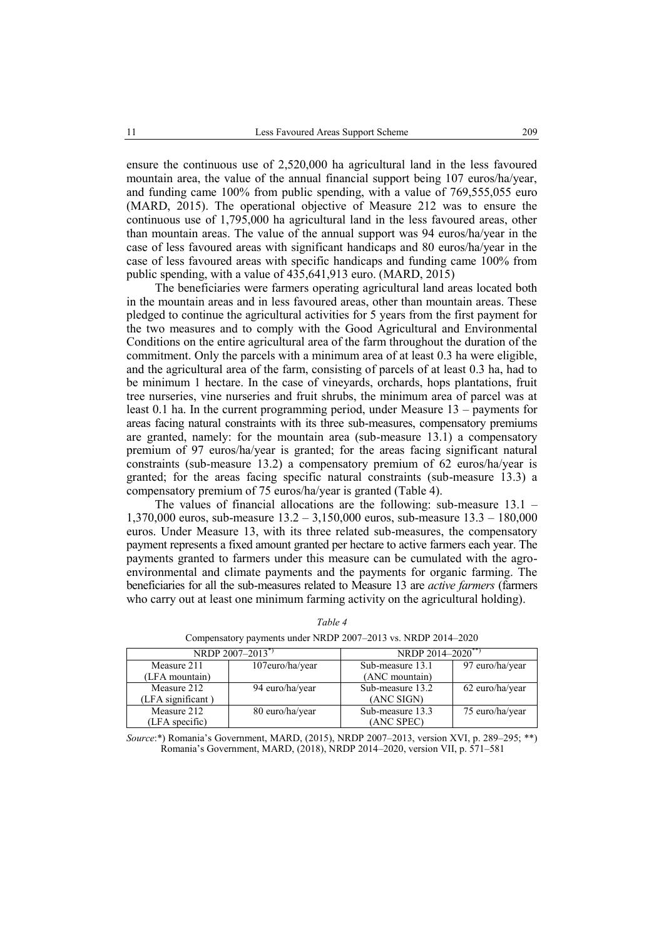ensure the continuous use of 2,520,000 ha agricultural land in the less favoured mountain area, the value of the annual financial support being 107 euros/ha/year, and funding came 100% from public spending, with a value of 769,555,055 euro (MARD, 2015). The operational objective of Measure 212 was to ensure the continuous use of 1,795,000 ha agricultural land in the less favoured areas, other than mountain areas. The value of the annual support was 94 euros/ha/year in the case of less favoured areas with significant handicaps and 80 euros/ha/year in the case of less favoured areas with specific handicaps and funding came 100% from public spending, with a value of 435,641,913 euro. (MARD, 2015)

The beneficiaries were farmers operating agricultural land areas located both in the mountain areas and in less favoured areas, other than mountain areas. These pledged to continue the agricultural activities for 5 years from the first payment for the two measures and to comply with the Good Agricultural and Environmental Conditions on the entire agricultural area of the farm throughout the duration of the commitment. Only the parcels with a minimum area of at least 0.3 ha were eligible, and the agricultural area of the farm, consisting of parcels of at least 0.3 ha, had to be minimum 1 hectare. In the case of vineyards, orchards, hops plantations, fruit tree nurseries, vine nurseries and fruit shrubs, the minimum area of parcel was at least 0.1 ha. In the current programming period, under Measure 13 – payments for areas facing natural constraints with its three sub-measures, compensatory premiums are granted, namely: for the mountain area (sub-measure 13.1) a compensatory premium of 97 euros/ha/year is granted; for the areas facing significant natural constraints (sub-measure 13.2) a compensatory premium of 62 euros/ha/year is granted; for the areas facing specific natural constraints (sub-measure 13.3) a compensatory premium of 75 euros/ha/year is granted (Table 4).

The values of financial allocations are the following: sub-measure 13.1 – 1,370,000 euros, sub-measure 13.2 – 3,150,000 euros, sub-measure 13.3 – 180,000 euros. Under Measure 13, with its three related sub-measures, the compensatory payment represents a fixed amount granted per hectare to active farmers each year. The payments granted to farmers under this measure can be cumulated with the agroenvironmental and climate payments and the payments for organic farming. The beneficiaries for all the sub-measures related to Measure 13 are *active farmers* (farmers who carry out at least one minimum farming activity on the agricultural holding).

|                   | NRDP 2007-2013*) | NRDP 2014-2020 <sup>**</sup> |                 |  |
|-------------------|------------------|------------------------------|-----------------|--|
| Measure 211       | 107euro/ha/year  | Sub-measure 13.1             | 97 euro/ha/year |  |
| (LFA mountain)    |                  | (ANC mountain)               |                 |  |
| Measure 212       | 94 euro/ha/year  | Sub-measure 13.2             | 62 euro/ha/year |  |
| (LFA significant) |                  | (ANC SIGN)                   |                 |  |
| Measure 212       | 80 euro/ha/year  | Sub-measure 13.3             | 75 euro/ha/year |  |
| (LFA specific)    |                  | (ANC SPEC)                   |                 |  |

*Table 4*

Compensatory payments under NRDP 2007–2013 vs. NRDP 2014–2020

*Source*:\*) Romania's Government, MARD, (2015), NRDP 2007–2013, version XVI, p. 289–295; \*\*) Romania's Government, MARD, (2018), NRDP 2014–2020, version VII, p. 571–581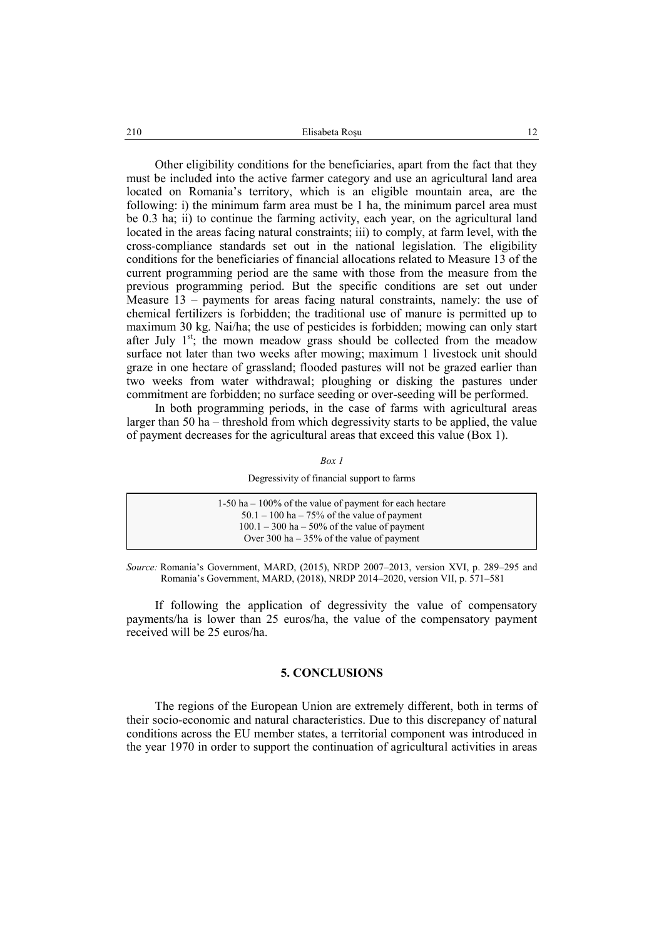Other eligibility conditions for the beneficiaries, apart from the fact that they must be included into the active farmer category and use an agricultural land area located on Romania's territory, which is an eligible mountain area, are the following: i) the minimum farm area must be 1 ha, the minimum parcel area must be 0.3 ha; ii) to continue the farming activity, each year, on the agricultural land located in the areas facing natural constraints; iii) to comply, at farm level, with the cross-compliance standards set out in the national legislation. The eligibility conditions for the beneficiaries of financial allocations related to Measure 13 of the current programming period are the same with those from the measure from the previous programming period. But the specific conditions are set out under Measure 13 – payments for areas facing natural constraints, namely: the use of chemical fertilizers is forbidden; the traditional use of manure is permitted up to maximum 30 kg. Nai/ha; the use of pesticides is forbidden; mowing can only start after July  $1^{st}$ ; the mown meadow grass should be collected from the meadow surface not later than two weeks after mowing; maximum 1 livestock unit should graze in one hectare of grassland; flooded pastures will not be grazed earlier than two weeks from water withdrawal; ploughing or disking the pastures under commitment are forbidden; no surface seeding or over-seeding will be performed.

In both programming periods, in the case of farms with agricultural areas larger than 50 ha – threshold from which degressivity starts to be applied, the value of payment decreases for the agricultural areas that exceed this value (Box 1).

*Box 1*

|  | Degressivity of financial support to farms |  |
|--|--------------------------------------------|--|
|  |                                            |  |

| $1-50$ ha $-100\%$ of the value of payment for each hectare |
|-------------------------------------------------------------|
| $50.1 - 100$ ha $-75\%$ of the value of payment             |
| $100.1 - 300$ ha $-50\%$ of the value of payment            |
| Over 300 ha $-35\%$ of the value of payment                 |
|                                                             |

*Source:* Romania's Government, MARD, (2015), NRDP 2007–2013, version XVI, p. 289–295 and Romania's Government, MARD, (2018), NRDP 2014–2020, version VII, p. 571–581

If following the application of degressivity the value of compensatory payments/ha is lower than 25 euros/ha, the value of the compensatory payment received will be 25 euros/ha.

### **5. CONCLUSIONS**

The regions of the European Union are extremely different, both in terms of their socio-economic and natural characteristics. Due to this discrepancy of natural conditions across the EU member states, a territorial component was introduced in the year 1970 in order to support the continuation of agricultural activities in areas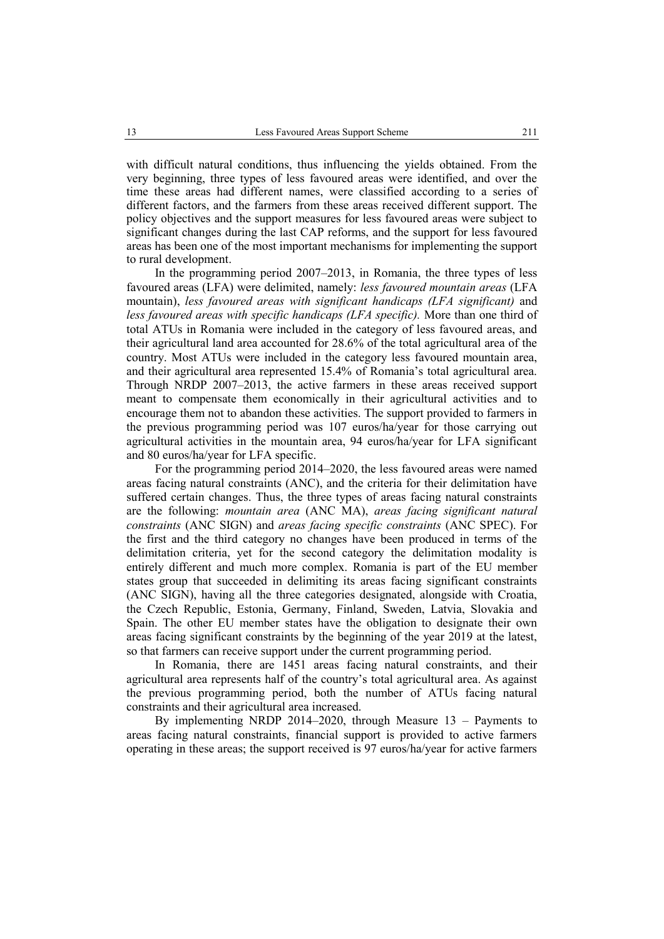with difficult natural conditions, thus influencing the yields obtained. From the very beginning, three types of less favoured areas were identified, and over the time these areas had different names, were classified according to a series of different factors, and the farmers from these areas received different support. The policy objectives and the support measures for less favoured areas were subject to significant changes during the last CAP reforms, and the support for less favoured areas has been one of the most important mechanisms for implementing the support to rural development.

In the programming period 2007–2013, in Romania, the three types of less favoured areas (LFA) were delimited, namely: *less favoured mountain areas* (LFA mountain), *less favoured areas with significant handicaps (LFA significant)* and *less favoured areas with specific handicaps (LFA specific).* More than one third of total ATUs in Romania were included in the category of less favoured areas, and their agricultural land area accounted for 28.6% of the total agricultural area of the country. Most ATUs were included in the category less favoured mountain area, and their agricultural area represented 15.4% of Romania's total agricultural area. Through NRDP 2007–2013, the active farmers in these areas received support meant to compensate them economically in their agricultural activities and to encourage them not to abandon these activities. The support provided to farmers in the previous programming period was 107 euros/ha/year for those carrying out agricultural activities in the mountain area, 94 euros/ha/year for LFA significant and 80 euros/ha/year for LFA specific.

For the programming period 2014–2020, the less favoured areas were named areas facing natural constraints (ANC), and the criteria for their delimitation have suffered certain changes. Thus, the three types of areas facing natural constraints are the following: *mountain area* (ANC MA), *areas facing significant natural constraints* (ANC SIGN) and *areas facing specific constraints* (ANC SPEC). For the first and the third category no changes have been produced in terms of the delimitation criteria, yet for the second category the delimitation modality is entirely different and much more complex. Romania is part of the EU member states group that succeeded in delimiting its areas facing significant constraints (ANC SIGN), having all the three categories designated, alongside with Croatia, the Czech Republic, Estonia, Germany, Finland, Sweden, Latvia, Slovakia and Spain. The other EU member states have the obligation to designate their own areas facing significant constraints by the beginning of the year 2019 at the latest, so that farmers can receive support under the current programming period.

In Romania, there are 1451 areas facing natural constraints, and their agricultural area represents half of the country's total agricultural area. As against the previous programming period, both the number of ATUs facing natural constraints and their agricultural area increased.

By implementing NRDP 2014–2020, through Measure 13 – Payments to areas facing natural constraints, financial support is provided to active farmers operating in these areas; the support received is 97 euros/ha/year for active farmers